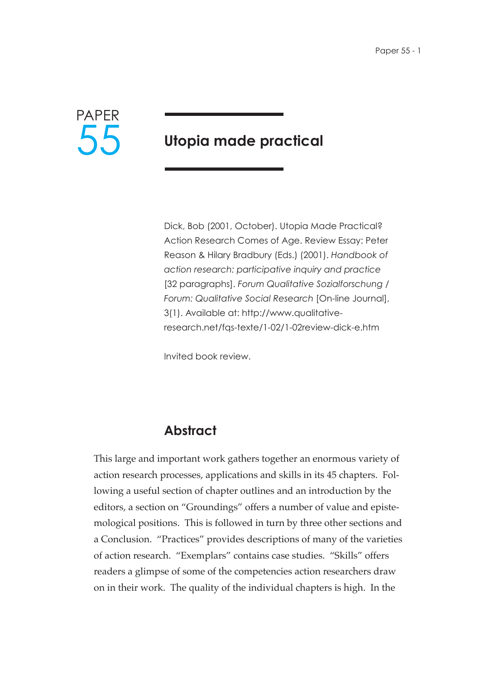

# **Utopia made practical**

Dick, Bob (2001, October). Utopia Made Practical? Action Research Comes of Age. Review Essay: Peter Reason & Hilary Bradbury (Eds.) (2001). *Handbook of action research: participative inquiry and practice* [32 paragraphs]. *Forum Qualitative Sozialforschung / Forum: Qualitative Social Research* [On-line Journal], 3(1). Available at: http://www.qualitativeresearch.net/fqs-texte/1-02/1-02review-dick-e.htm

Invited book review.

## **Abstract**

This large and important work gathers together an enormous variety of action research processes, applications and skills in its 45 chapters. Following a useful section of chapter outlines and an introduction by the editors, a section on "Groundings" offers a number of value and epistemological positions. This is followed in turn by three other sections and a Conclusion. "Practices" provides descriptions of many of the varieties of action research. "Exemplars" contains case studies. "Skills" offers readers a glimpse of some of the competencies action researchers draw on in their work. The quality of the individual chapters is high. In the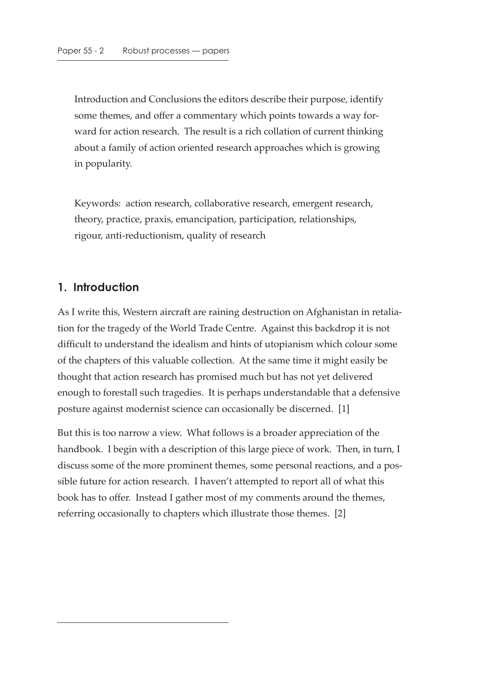Introduction and Conclusions the editors describe their purpose, identify some themes, and offer a commentary which points towards a way forward for action research. The result is a rich collation of current thinking about a family of action oriented research approaches which is growing in popularity.

Keywords: action research, collaborative research, emergent research, theory, practice, praxis, emancipation, participation, relationships, rigour, anti-reductionism, quality of research

### **1. Introduction**

As I write this, Western aircraft are raining destruction on Afghanistan in retaliation for the tragedy of the World Trade Centre. Against this backdrop it is not difficult to understand the idealism and hints of utopianism which colour some of the chapters of this valuable collection. At the same time it might easily be thought that action research has promised much but has not yet delivered enough to forestall such tragedies. It is perhaps understandable that a defensive posture against modernist science can occasionally be discerned. [1]

But this is too narrow a view. What follows is a broader appreciation of the handbook. I begin with a description of this large piece of work. Then, in turn, I discuss some of the more prominent themes, some personal reactions, and a possible future for action research. I haven't attempted to report all of what this book has to offer. Instead I gather most of my comments around the themes, referring occasionally to chapters which illustrate those themes. [2]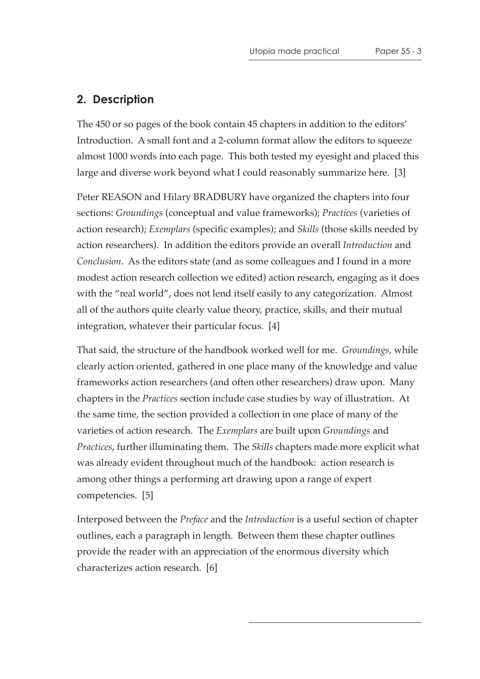## **2. Description**

The 450 or so pages of the book contain 45 chapters in addition to the editors' Introduction. A small font and a 2-column format allow the editors to squeeze almost 1000 words into each page. This both tested my eyesight and placed this large and diverse work beyond what I could reasonably summarize here. [3]

Peter REASON and Hilary BRADBURY have organized the chapters into four sections: *Groundings* (conceptual and value frameworks); *Practices* (varieties of action research); *Exemplars* (specific examples); and *Skills* (those skills needed by action researchers). In addition the editors provide an overall *Introduction* and *Conclusion*. As the editors state (and as some colleagues and I found in a more modest action research collection we edited) action research, engaging as it does with the "real world", does not lend itself easily to any categorization. Almost all of the authors quite clearly value theory, practice, skills, and their mutual integration, whatever their particular focus. [4]

That said, the structure of the handbook worked well for me. *Groundings*, while clearly action oriented, gathered in one place many of the knowledge and value frameworks action researchers (and often other researchers) draw upon. Many chapters in the *Practices* section include case studies by way of illustration. At the same time, the section provided a collection in one place of many of the varieties of action research. The *Exemplars* are built upon *Groundings* and *Practices*, further illuminating them. The *Skills* chapters made more explicit what was already evident throughout much of the handbook: action research is among other things a performing art drawing upon a range of expert competencies. [5]

Interposed between the *Preface* and the *Introduction* is a useful section of chapter outlines, each a paragraph in length. Between them these chapter outlines provide the reader with an appreciation of the enormous diversity which characterizes action research. [6]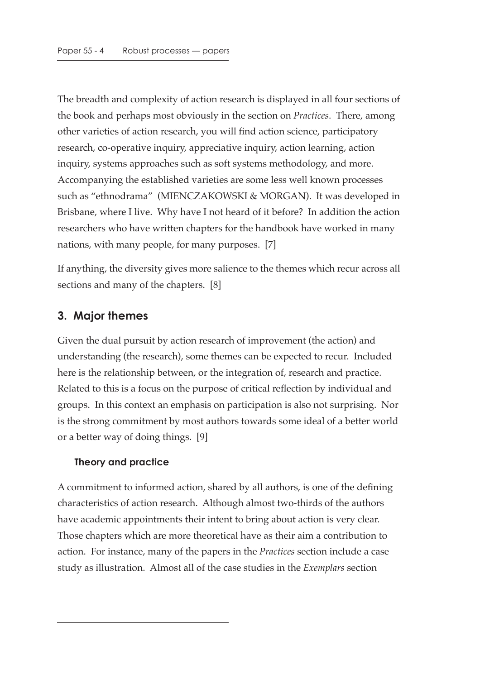The breadth and complexity of action research is displayed in all four sections of the book and perhaps most obviously in the section on *Practices*. There, among other varieties of action research, you will find action science, participatory research, co-operative inquiry, appreciative inquiry, action learning, action inquiry, systems approaches such as soft systems methodology, and more. Accompanying the established varieties are some less well known processes such as "ethnodrama" (MIENCZAKOWSKI & MORGAN). It was developed in Brisbane, where I live. Why have I not heard of it before? In addition the action researchers who have written chapters for the handbook have worked in many nations, with many people, for many purposes. [7]

If anything, the diversity gives more salience to the themes which recur across all sections and many of the chapters. [8]

## **3. Major themes**

Given the dual pursuit by action research of improvement (the action) and understanding (the research), some themes can be expected to recur. Included here is the relationship between, or the integration of, research and practice. Related to this is a focus on the purpose of critical reflection by individual and groups. In this context an emphasis on participation is also not surprising. Nor is the strong commitment by most authors towards some ideal of a better world or a better way of doing things. [9]

## **Theory and practice**

A commitment to informed action, shared by all authors, is one of the defining characteristics of action research. Although almost two-thirds of the authors have academic appointments their intent to bring about action is very clear. Those chapters which are more theoretical have as their aim a contribution to action. For instance, many of the papers in the *Practices* section include a case study as illustration. Almost all of the case studies in the *Exemplars* section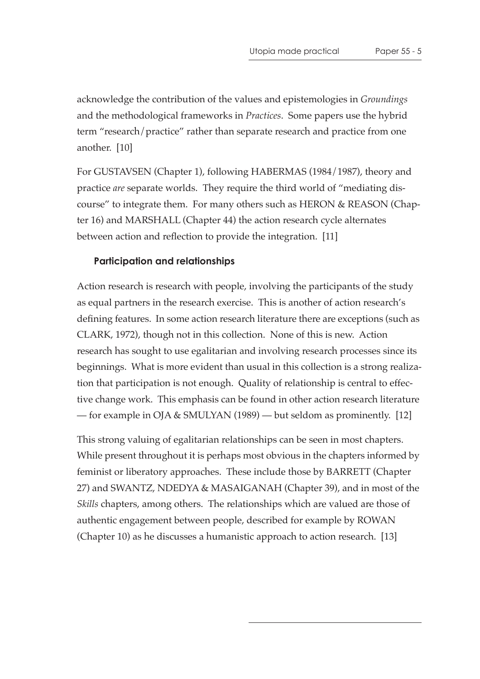acknowledge the contribution of the values and epistemologies in *Groundings* and the methodological frameworks in *Practices*. Some papers use the hybrid term "research/practice" rather than separate research and practice from one another. [10]

For GUSTAVSEN (Chapter 1), following HABERMAS (1984/1987), theory and practice *are* separate worlds. They require the third world of "mediating discourse" to integrate them. For many others such as HERON & REASON (Chapter 16) and MARSHALL (Chapter 44) the action research cycle alternates between action and reflection to provide the integration. [11]

#### **Participation and relationships**

Action research is research with people, involving the participants of the study as equal partners in the research exercise. This is another of action research's defining features. In some action research literature there are exceptions (such as CLARK, 1972), though not in this collection. None of this is new. Action research has sought to use egalitarian and involving research processes since its beginnings. What is more evident than usual in this collection is a strong realization that participation is not enough. Quality of relationship is central to effective change work. This emphasis can be found in other action research literature — for example in OJA & SMULYAN (1989) — but seldom as prominently. [12]

This strong valuing of egalitarian relationships can be seen in most chapters. While present throughout it is perhaps most obvious in the chapters informed by feminist or liberatory approaches. These include those by BARRETT (Chapter 27) and SWANTZ, NDEDYA & MASAIGANAH (Chapter 39), and in most of the *Skills* chapters, among others. The relationships which are valued are those of authentic engagement between people, described for example by ROWAN (Chapter 10) as he discusses a humanistic approach to action research. [13]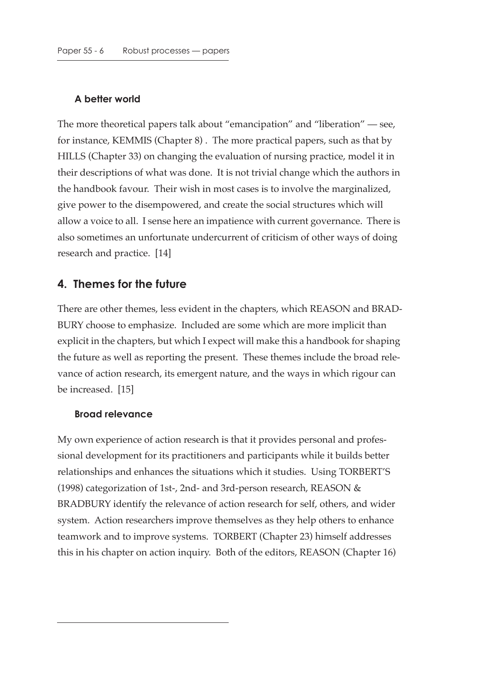### **A better world**

The more theoretical papers talk about "emancipation" and "liberation" — see, for instance, KEMMIS (Chapter 8) . The more practical papers, such as that by HILLS (Chapter 33) on changing the evaluation of nursing practice, model it in their descriptions of what was done. It is not trivial change which the authors in the handbook favour. Their wish in most cases is to involve the marginalized, give power to the disempowered, and create the social structures which will allow a voice to all. I sense here an impatience with current governance. There is also sometimes an unfortunate undercurrent of criticism of other ways of doing research and practice. [14]

## **4. Themes for the future**

There are other themes, less evident in the chapters, which REASON and BRAD-BURY choose to emphasize. Included are some which are more implicit than explicit in the chapters, but which I expect will make this a handbook for shaping the future as well as reporting the present. These themes include the broad relevance of action research, its emergent nature, and the ways in which rigour can be increased. [15]

#### **Broad relevance**

My own experience of action research is that it provides personal and professional development for its practitioners and participants while it builds better relationships and enhances the situations which it studies. Using TORBERT'S (1998) categorization of 1st-, 2nd- and 3rd-person research, REASON & BRADBURY identify the relevance of action research for self, others, and wider system. Action researchers improve themselves as they help others to enhance teamwork and to improve systems. TORBERT (Chapter 23) himself addresses this in his chapter on action inquiry. Both of the editors, REASON (Chapter 16)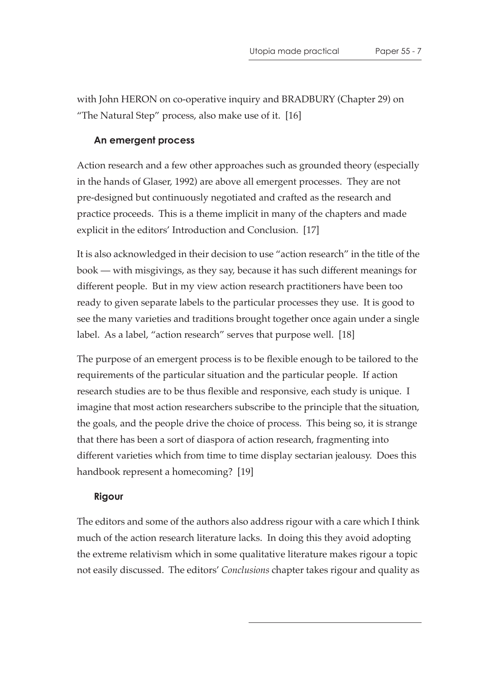with John HERON on co-operative inquiry and BRADBURY (Chapter 29) on "The Natural Step" process, also make use of it. [16]

#### **An emergent process**

Action research and a few other approaches such as grounded theory (especially in the hands of Glaser, 1992) are above all emergent processes. They are not pre-designed but continuously negotiated and crafted as the research and practice proceeds. This is a theme implicit in many of the chapters and made explicit in the editors' Introduction and Conclusion. [17]

It is also acknowledged in their decision to use "action research" in the title of the book — with misgivings, as they say, because it has such different meanings for different people. But in my view action research practitioners have been too ready to given separate labels to the particular processes they use. It is good to see the many varieties and traditions brought together once again under a single label. As a label, "action research" serves that purpose well. [18]

The purpose of an emergent process is to be flexible enough to be tailored to the requirements of the particular situation and the particular people. If action research studies are to be thus flexible and responsive, each study is unique. I imagine that most action researchers subscribe to the principle that the situation, the goals, and the people drive the choice of process. This being so, it is strange that there has been a sort of diaspora of action research, fragmenting into different varieties which from time to time display sectarian jealousy. Does this handbook represent a homecoming? [19]

#### **Rigour**

The editors and some of the authors also address rigour with a care which I think much of the action research literature lacks. In doing this they avoid adopting the extreme relativism which in some qualitative literature makes rigour a topic not easily discussed. The editors' *Conclusions* chapter takes rigour and quality as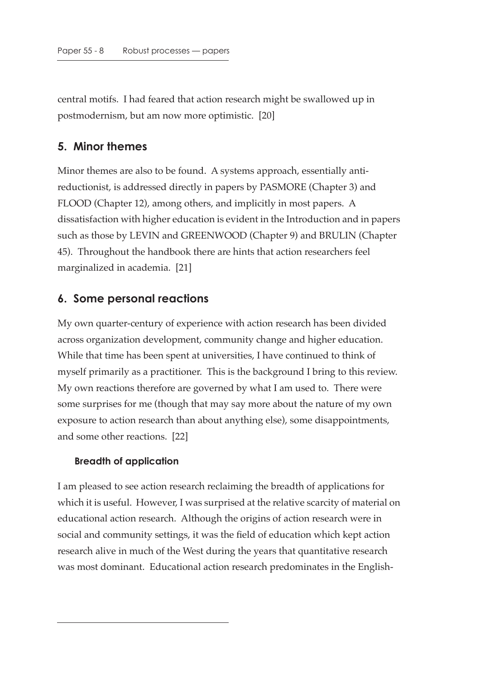central motifs. I had feared that action research might be swallowed up in postmodernism, but am now more optimistic. [20]

## **5. Minor themes**

Minor themes are also to be found. A systems approach, essentially antireductionist, is addressed directly in papers by PASMORE (Chapter 3) and FLOOD (Chapter 12), among others, and implicitly in most papers. A dissatisfaction with higher education is evident in the Introduction and in papers such as those by LEVIN and GREENWOOD (Chapter 9) and BRULIN (Chapter 45). Throughout the handbook there are hints that action researchers feel marginalized in academia. [21]

## **6. Some personal reactions**

My own quarter-century of experience with action research has been divided across organization development, community change and higher education. While that time has been spent at universities, I have continued to think of myself primarily as a practitioner. This is the background I bring to this review. My own reactions therefore are governed by what I am used to. There were some surprises for me (though that may say more about the nature of my own exposure to action research than about anything else), some disappointments, and some other reactions. [22]

#### **Breadth of application**

I am pleased to see action research reclaiming the breadth of applications for which it is useful. However, I was surprised at the relative scarcity of material on educational action research. Although the origins of action research were in social and community settings, it was the field of education which kept action research alive in much of the West during the years that quantitative research was most dominant. Educational action research predominates in the English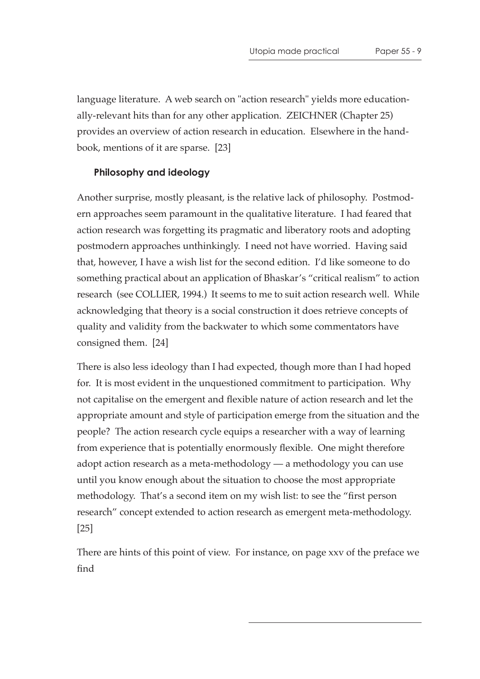language literature. A web search on "action research" yields more educationally-relevant hits than for any other application. ZEICHNER (Chapter 25) provides an overview of action research in education. Elsewhere in the handbook, mentions of it are sparse. [23]

#### **Philosophy and ideology**

Another surprise, mostly pleasant, is the relative lack of philosophy. Postmodern approaches seem paramount in the qualitative literature. I had feared that action research was forgetting its pragmatic and liberatory roots and adopting postmodern approaches unthinkingly. I need not have worried. Having said that, however, I have a wish list for the second edition. I'd like someone to do something practical about an application of Bhaskar's "critical realism" to action research (see COLLIER, 1994.) It seems to me to suit action research well. While acknowledging that theory is a social construction it does retrieve concepts of quality and validity from the backwater to which some commentators have consigned them. [24]

There is also less ideology than I had expected, though more than I had hoped for. It is most evident in the unquestioned commitment to participation. Why not capitalise on the emergent and flexible nature of action research and let the appropriate amount and style of participation emerge from the situation and the people? The action research cycle equips a researcher with a way of learning from experience that is potentially enormously flexible. One might therefore adopt action research as a meta-methodology — a methodology you can use until you know enough about the situation to choose the most appropriate methodology. That's a second item on my wish list: to see the "first person research" concept extended to action research as emergent meta-methodology. [25]

There are hints of this point of view. For instance, on page xxv of the preface we find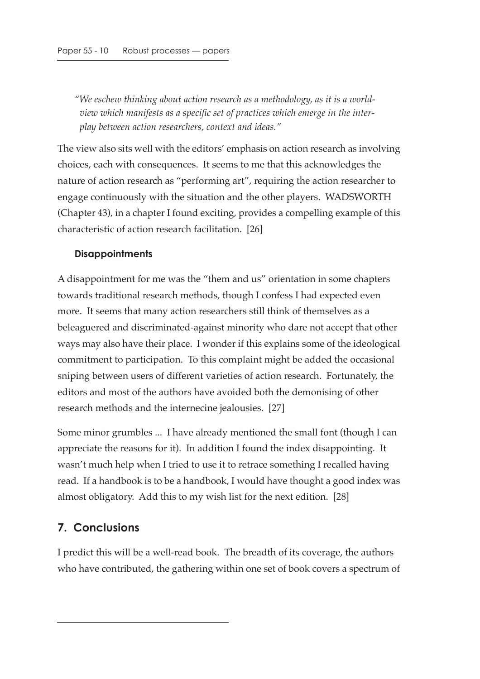*"We eschew thinking about action research as a methodology, as it is a worldview which manifests as a specific set of practices which emerge in the interplay between action researchers, context and ideas."*

The view also sits well with the editors' emphasis on action research as involving choices, each with consequences. It seems to me that this acknowledges the nature of action research as "performing art", requiring the action researcher to engage continuously with the situation and the other players. WADSWORTH (Chapter 43), in a chapter I found exciting, provides a compelling example of this characteristic of action research facilitation. [26]

### **Disappointments**

A disappointment for me was the "them and us" orientation in some chapters towards traditional research methods, though I confess I had expected even more. It seems that many action researchers still think of themselves as a beleaguered and discriminated-against minority who dare not accept that other ways may also have their place. I wonder if this explains some of the ideological commitment to participation. To this complaint might be added the occasional sniping between users of different varieties of action research. Fortunately, the editors and most of the authors have avoided both the demonising of other research methods and the internecine jealousies. [27]

Some minor grumbles ... I have already mentioned the small font (though I can appreciate the reasons for it). In addition I found the index disappointing. It wasn't much help when I tried to use it to retrace something I recalled having read. If a handbook is to be a handbook, I would have thought a good index was almost obligatory. Add this to my wish list for the next edition. [28]

## **7. Conclusions**

I predict this will be a well-read book. The breadth of its coverage, the authors who have contributed, the gathering within one set of book covers a spectrum of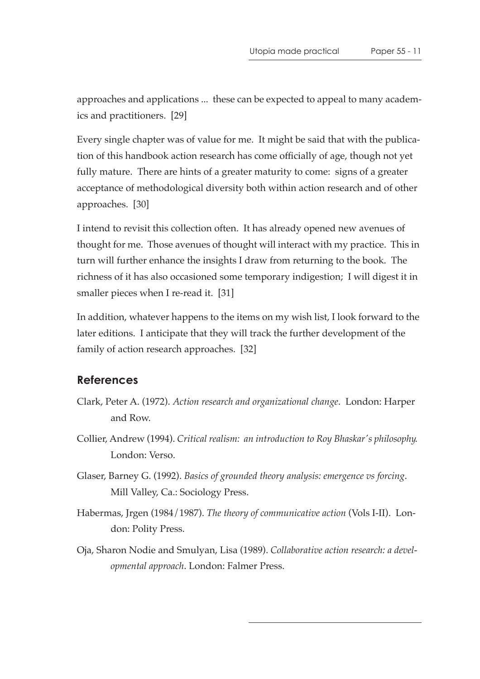approaches and applications ... these can be expected to appeal to many academics and practitioners. [29]

Every single chapter was of value for me. It might be said that with the publication of this handbook action research has come officially of age, though not yet fully mature. There are hints of a greater maturity to come: signs of a greater acceptance of methodological diversity both within action research and of other approaches. [30]

I intend to revisit this collection often. It has already opened new avenues of thought for me. Those avenues of thought will interact with my practice. This in turn will further enhance the insights I draw from returning to the book. The richness of it has also occasioned some temporary indigestion; I will digest it in smaller pieces when I re-read it. [31]

In addition, whatever happens to the items on my wish list, I look forward to the later editions. I anticipate that they will track the further development of the family of action research approaches. [32]

### **References**

- Clark, Peter A. (1972). *Action research and organizational change*. London: Harper and Row.
- Collier, Andrew (1994). *Critical realism: an introduction to Roy Bhaskar's philosophy*. London: Verso.
- Glaser, Barney G. (1992). *Basics of grounded theory analysis: emergence vs forcing*. Mill Valley, Ca.: Sociology Press.
- Habermas, Jrgen (1984/1987). *The theory of communicative action* (Vols I-II). London: Polity Press.
- Oja, Sharon Nodie and Smulyan, Lisa (1989). *Collaborative action research: a developmental approach*. London: Falmer Press.